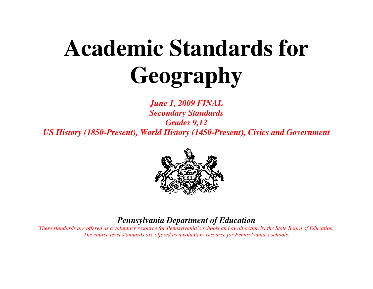# **Academic Standards for Geography**

*June 1, 2009 FINAL Secondary Standards Grades 9,12 US History (1850-Present), World History (1450-Present), Civics and Government* 



# *Pennsylvania Department of Education*

 *These standards are offered as a voluntary resource for Pennsylvania's schools and await action by the State Board of Education. The course level standards are offered as a voluntary resource for Pennsylvania's schools.*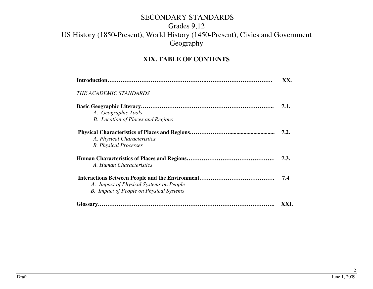#### **XIX. TABLE OF CONTENTS**

|                                                | XX.  |
|------------------------------------------------|------|
| THE ACADEMIC STANDARDS                         |      |
|                                                | 7.1. |
| A. Geographic Tools                            |      |
| <b>B.</b> Location of Places and Regions       |      |
|                                                | 7.2. |
| A. Physical Characteristics                    |      |
| <b>B.</b> Physical Processes                   |      |
|                                                | 7.3. |
| A. Human Characteristics                       |      |
|                                                | 7.4  |
| A. Impact of Physical Systems on People        |      |
| <b>B.</b> Impact of People on Physical Systems |      |
|                                                |      |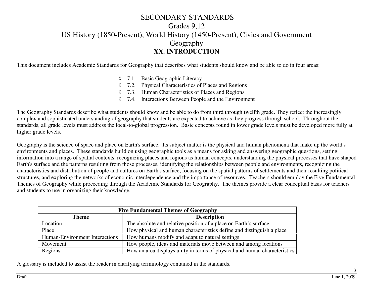This document includes Academic Standards for Geography that describes what students should know and be able to do in four areas:

- ◊ 7.1. Basic Geographic Literacy
- ◊ 7.2. Physical Characteristics of Places and Regions
- ◊ 7.3. Human Characteristics of Places and Regions
- ◊ 7.4. Interactions Between People and the Environment

The Geography Standards describe what students should know and be able to do from third through twelfth grade. They reflect the increasingly complex and sophisticated understanding of geography that students are expected to achieve as they progress through school. Throughout the standards, all grade levels must address the local-to-global progression. Basic concepts found in lower grade levels must be developed more fully at higher grade levels.

Geography is the science of space and place on Earth's surface. Its subject matter is the physical and human phenomena that make up the world's environments and places. These standards build on using geographic tools as a means for asking and answering geographic questions, setting information into a range of spatial contexts, recognizing places and regions as human concepts, understanding the physical processes that have shaped Earth's surface and the patterns resulting from those processes, identifying the relationships between people and environments, recognizing the characteristics and distribution of people and cultures on Earth's surface, focusing on the spatial patterns of settlements and their resulting political structures, and exploring the networks of economic interdependence and the importance of resources. Teachers should employ the Five Fundamental Themes of Geography while proceeding through the Academic Standards for Geography. The themes provide a clear conceptual basis for teachers and students to use in organizing their knowledge.

| <b>Five Fundamental Themes of Geography</b> |                                                                           |  |
|---------------------------------------------|---------------------------------------------------------------------------|--|
| <b>Theme</b>                                | <b>Description</b>                                                        |  |
| Location                                    | The absolute and relative position of a place on Earth's surface          |  |
| Place                                       | How physical and human characteristics define and distinguish a place     |  |
| Human-Environment Interactions              | How humans modify and adapt to natural settings                           |  |
| Movement                                    | How people, ideas and materials move between and among locations          |  |
| Regions                                     | How an area displays unity in terms of physical and human characteristics |  |

A glossary is included to assist the reader in clarifying terminology contained in the standards.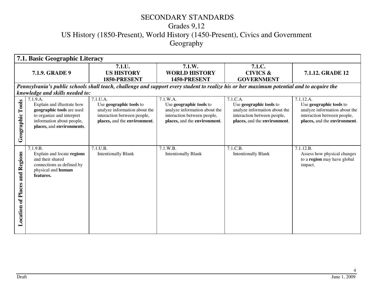| 7.1. Basic Geographic Literacy          |                                                                                                                                                                                               |                                                                                                                                           |                                                                                                                                     |                                                                                                                                     |                                                                                                                                      |
|-----------------------------------------|-----------------------------------------------------------------------------------------------------------------------------------------------------------------------------------------------|-------------------------------------------------------------------------------------------------------------------------------------------|-------------------------------------------------------------------------------------------------------------------------------------|-------------------------------------------------------------------------------------------------------------------------------------|--------------------------------------------------------------------------------------------------------------------------------------|
|                                         | 7.1.9. GRADE 9                                                                                                                                                                                | 7.1.U.<br><b>US HISTORY</b><br>1850-PRESENT                                                                                               | 7.1.W.<br><b>WORLD HISTORY</b><br>1450-PRESENT                                                                                      | 7.1.C.<br><b>CIVICS &amp;</b><br><b>GOVERNMENT</b>                                                                                  | 7.1.12. GRADE 12                                                                                                                     |
|                                         |                                                                                                                                                                                               | Pennsylvania's public schools shall teach, challenge and support every student to realize his or her maximum potential and to acquire the |                                                                                                                                     |                                                                                                                                     |                                                                                                                                      |
| Tools<br>Geographic                     | knowledge and skills needed to:<br>7.1.9.A.<br>Explain and illustrate how<br>geographic tools are used<br>to organize and interpret<br>information about people,<br>places, and environments. | 7.1.U.A.<br>Use geographic tools to<br>analyze information about the<br>interaction between people,<br>places, and the environment.       | 7.1.W.A.<br>Use geographic tools to<br>analyze information about the<br>interaction between people,<br>places, and the environment. | 7.1.C.A.<br>Use geographic tools to<br>analyze information about the<br>interaction between people,<br>places, and the environment. | 7.1.12.A.<br>Use geographic tools to<br>analyze information about the<br>interaction between people,<br>places, and the environment. |
| Regions<br>and<br>of Places<br>Location | 7.1.9.B.<br>Explain and locate regions<br>and their shared<br>connections as defined by<br>physical and human<br>features.                                                                    | 7.1.U.B.<br><b>Intentionally Blank</b>                                                                                                    | 7.1.W.B.<br><b>Intentionally Blank</b>                                                                                              | 7.1.C.B.<br><b>Intentionally Blank</b>                                                                                              | 7.1.12.B<br>Assess how physical changes<br>to a <b>region</b> may have global<br>impact.                                             |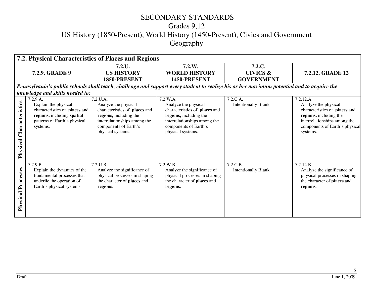| 7.2. Physical Characteristics of Places and Regions |                                                                                                                                 |                                                                                                                                                               |                                                                                                                                                               |                                                    |                                                                                                                                                               |
|-----------------------------------------------------|---------------------------------------------------------------------------------------------------------------------------------|---------------------------------------------------------------------------------------------------------------------------------------------------------------|---------------------------------------------------------------------------------------------------------------------------------------------------------------|----------------------------------------------------|---------------------------------------------------------------------------------------------------------------------------------------------------------------|
|                                                     | <b>7.2.9. GRADE 9</b>                                                                                                           | 7.2.L.<br><b>US HISTORY</b><br>1850-PRESENT                                                                                                                   | 7.2.W.<br><b>WORLD HISTORY</b><br>1450-PRESENT                                                                                                                | 7.2.C.<br><b>CIVICS &amp;</b><br><b>GOVERNMENT</b> | <b>7.2.12. GRADE 12</b>                                                                                                                                       |
|                                                     |                                                                                                                                 |                                                                                                                                                               | Pennsylvania's public schools shall teach, challenge and support every student to realize his or her maximum potential and to acquire the                     |                                                    |                                                                                                                                                               |
|                                                     | knowledge and skills needed to:<br>7.2.9.A.                                                                                     | 7.2.U.A.                                                                                                                                                      | 7.2.W.A.                                                                                                                                                      | 7.2.C.A.                                           | 7.2.12.A.                                                                                                                                                     |
| Characteristics<br>Physical                         | Explain the physical<br>characteristics of places and<br>regions, including spatial<br>patterns of Earth's physical<br>systems. | Analyze the physical<br>characteristics of places and<br>regions, including the<br>interrelationships among the<br>components of Earth's<br>physical systems. | Analyze the physical<br>characteristics of places and<br>regions, including the<br>interrelationships among the<br>components of Earth's<br>physical systems. | <b>Intentionally Blank</b>                         | Analyze the physical<br>characteristics of places and<br>regions, including the<br>interrelationships among the<br>components of Earth's physical<br>systems. |
| Processes<br>Physical                               | 7.2.9.B.<br>Explain the dynamics of the<br>fundamental processes that<br>underlie the operation of<br>Earth's physical systems. | 7.2.U.B.<br>Analyze the significance of<br>physical processes in shaping<br>the character of places and<br>regions.                                           | 7.2.W.B.<br>Analyze the significance of<br>physical processes in shaping<br>the character of places and<br>regions.                                           | 7.2.C.B.<br><b>Intentionally Blank</b>             | 7.2.12.B.<br>Analyze the significance of<br>physical processes in shaping<br>the character of places and<br>regions.                                          |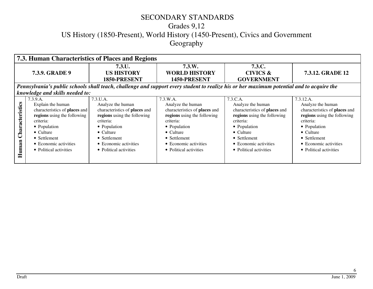### SECONDARY STANDARDS

# Grades 9,12

US History (1850-Present), World History (1450-Present), Civics and Government

Geography

|                          | 7.3. Human Characteristics of Places and Regions                                                                                                                                                                   |                                                                                                                                                                                                                    |                                                                                                                                                                                                                    |                                                                                                                                                                                                                    |                                                                                                                                                                                                                     |
|--------------------------|--------------------------------------------------------------------------------------------------------------------------------------------------------------------------------------------------------------------|--------------------------------------------------------------------------------------------------------------------------------------------------------------------------------------------------------------------|--------------------------------------------------------------------------------------------------------------------------------------------------------------------------------------------------------------------|--------------------------------------------------------------------------------------------------------------------------------------------------------------------------------------------------------------------|---------------------------------------------------------------------------------------------------------------------------------------------------------------------------------------------------------------------|
|                          | <b>7.3.9. GRADE 9</b>                                                                                                                                                                                              | $7.3 \text{U}$ .<br><b>US HISTORY</b><br>1850-PRESENT                                                                                                                                                              | 7.3.W.<br><b>WORLD HISTORY</b><br>1450-PRESENT                                                                                                                                                                     | 7.3.C.<br><b>CIVICS &amp;</b><br><b>GOVERNMENT</b>                                                                                                                                                                 | <b>7.3.12. GRADE 12</b>                                                                                                                                                                                             |
|                          | Pennsylvania's public schools shall teach, challenge and support every student to realize his or her maximum potential and to acquire the                                                                          |                                                                                                                                                                                                                    |                                                                                                                                                                                                                    |                                                                                                                                                                                                                    |                                                                                                                                                                                                                     |
|                          | knowledge and skills needed to:                                                                                                                                                                                    |                                                                                                                                                                                                                    |                                                                                                                                                                                                                    |                                                                                                                                                                                                                    |                                                                                                                                                                                                                     |
| Characteristics<br>Human | 7.3.9.A.<br>Explain the human<br>characteristics of places and<br>regions using the following<br>criteria:<br>• Population<br>$\bullet$ Culture<br>• Settlement<br>• Economic activities<br>• Political activities | 7.3.U.A.<br>Analyze the human<br>characteristics of places and<br>regions using the following<br>criteria:<br>• Population<br>$\bullet$ Culture<br>• Settlement<br>• Economic activities<br>• Political activities | 7.3.W.A.<br>Analyze the human<br>characteristics of places and<br>regions using the following<br>criteria:<br>• Population<br>$\bullet$ Culture<br>• Settlement<br>• Economic activities<br>• Political activities | 7.3.C.A.<br>Analyze the human<br>characteristics of places and<br>regions using the following<br>criteria:<br>• Population<br>$\bullet$ Culture<br>• Settlement<br>• Economic activities<br>• Political activities | 7.3.12.A.<br>Analyze the human<br>characteristics of places and<br>regions using the following<br>criteria:<br>• Population<br>$\bullet$ Culture<br>• Settlement<br>• Economic activities<br>• Political activities |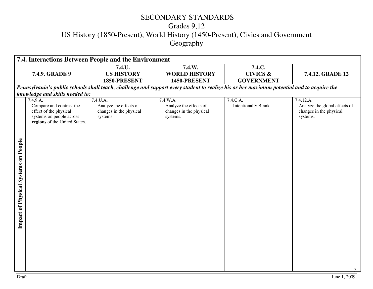| 7.4. Interactions Between People and the Environment |                                                                                                                                                                |                                                                           |                                                                           |                                                                                                                                           |                                                                                   |
|------------------------------------------------------|----------------------------------------------------------------------------------------------------------------------------------------------------------------|---------------------------------------------------------------------------|---------------------------------------------------------------------------|-------------------------------------------------------------------------------------------------------------------------------------------|-----------------------------------------------------------------------------------|
|                                                      | 7.4.9. GRADE 9                                                                                                                                                 | 7.4.U.<br><b>US HISTORY</b><br>1850-PRESENT                               | 7.4.W.<br><b>WORLD HISTORY</b><br>1450-PRESENT                            | 7.4.C.<br><b>CIVICS &amp;</b><br><b>GOVERNMENT</b>                                                                                        | 7.4.12. GRADE 12                                                                  |
|                                                      |                                                                                                                                                                |                                                                           |                                                                           | Pennsylvania's public schools shall teach, challenge and support every student to realize his or her maximum potential and to acquire the |                                                                                   |
| Impact of Physical Systems on People                 | knowledge and skills needed to:<br>7.4.9.A.<br>Compare and contrast the<br>effect of the physical<br>systems on people across<br>regions of the United States. | 7.4.U.A.<br>Analyze the effects of<br>changes in the physical<br>systems. | 7.4.W.A.<br>Analyze the effects of<br>changes in the physical<br>systems. | 7.4.C.A.<br><b>Intentionally Blank</b>                                                                                                    | 7.4.12.A.<br>Analyze the global effects of<br>changes in the physical<br>systems. |
|                                                      |                                                                                                                                                                |                                                                           |                                                                           |                                                                                                                                           | $\tau$                                                                            |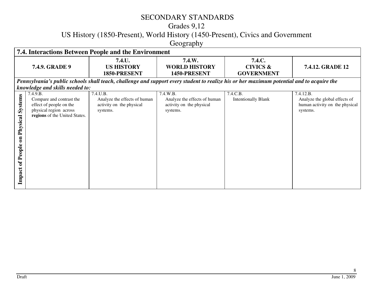#### SECONDARY STANDARDS

### Grades 9,12

US History (1850-Present), World History (1450-Present), Civics and Government

Geography

|                                                            | 7.4. Interactions Between People and the Environment                                                                       |                                                                                                                                           |                                                                                  |                                                    |                                                                                          |
|------------------------------------------------------------|----------------------------------------------------------------------------------------------------------------------------|-------------------------------------------------------------------------------------------------------------------------------------------|----------------------------------------------------------------------------------|----------------------------------------------------|------------------------------------------------------------------------------------------|
|                                                            | <b>7.4.9. GRADE 9</b>                                                                                                      | 7.4.U.<br><b>US HISTORY</b><br>1850-PRESENT                                                                                               | 7.4.W.<br><b>WORLD HISTORY</b><br>1450-PRESENT                                   | 7.4.C.<br><b>CIVICS &amp;</b><br><b>GOVERNMENT</b> | <b>7.4.12. GRADE 12</b>                                                                  |
|                                                            | knowledge and skills needed to:                                                                                            | Pennsylvania's public schools shall teach, challenge and support every student to realize his or her maximum potential and to acquire the |                                                                                  |                                                    |                                                                                          |
| Systems<br>Physical<br>$\mathbf{m}$<br>of People<br>Impact | 7.4.9.B.<br>Compare and contrast the<br>effect of people on the<br>physical region across<br>regions of the United States. | 7.4.U.B.<br>Analyze the effects of human<br>activity on the physical<br>systems.                                                          | 7.4.W.B.<br>Analyze the effects of human<br>activity on the physical<br>systems. | 7.4.C.B.<br><b>Intentionally Blank</b>             | 7.4.12.B.<br>Analyze the global effects of<br>human activity on the physical<br>systems. |